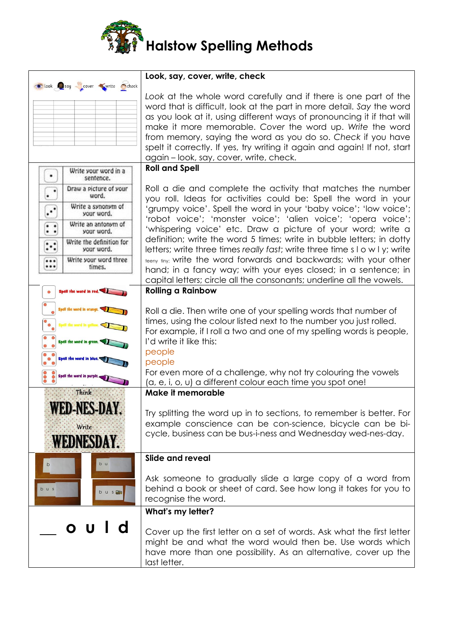

|                                                                                | Look, say, cover, write, check                                                                                                                                                                                                                                                                                                                                                                                                                                           |
|--------------------------------------------------------------------------------|--------------------------------------------------------------------------------------------------------------------------------------------------------------------------------------------------------------------------------------------------------------------------------------------------------------------------------------------------------------------------------------------------------------------------------------------------------------------------|
| book say cover write check                                                     | Look at the whole word carefully and if there is one part of the<br>word that is difficult, look at the part in more detail. Say the word<br>as you look at it, using different ways of pronouncing it if that will<br>make it more memorable. Cover the word up. Write the word<br>from memory, saying the word as you do so. Check if you have<br>spelt it correctly. If yes, try writing it again and again! If not, start<br>again - look, say, cover, write, check. |
| Write your word in a                                                           | <b>Roll and Spell</b>                                                                                                                                                                                                                                                                                                                                                                                                                                                    |
| sentence.                                                                      |                                                                                                                                                                                                                                                                                                                                                                                                                                                                          |
| Draw a picture of your<br>$\bullet$<br>word.<br>٠                              | Roll a die and complete the activity that matches the number<br>you roll. Ideas for activities could be: Spell the word in your                                                                                                                                                                                                                                                                                                                                          |
| Write a synonym of<br>$\ddotsc$<br>your word.                                  | 'grumpy voice'. Spell the word in your 'baby voice'; 'low voice';                                                                                                                                                                                                                                                                                                                                                                                                        |
| Write an antonym of<br>$\bullet\quad \bullet$<br>$\cdot$ $\cdot$<br>your word. | 'robot voice'; 'monster voice'; 'alien voice'; 'opera voice';<br>'whispering voice' etc. Draw a picture of your word; write a                                                                                                                                                                                                                                                                                                                                            |
| Write the definition for<br>$\ddot{\cdot}$<br>your word.                       | definition; write the word 5 times; write in bubble letters; in dotty<br>letters; write three times really fast; write three time $s \mid o \le l$ y; write                                                                                                                                                                                                                                                                                                              |
| Write your word three<br><br><br>times.                                        | teeny tiny; write the word forwards and backwards; with your other<br>hand; in a fancy way; with your eyes closed; in a sentence; in                                                                                                                                                                                                                                                                                                                                     |
|                                                                                | capital letters; circle all the consonants; underline all the vowels.                                                                                                                                                                                                                                                                                                                                                                                                    |
| Spell the word in red.                                                         | <b>Rolling a Rainbow</b>                                                                                                                                                                                                                                                                                                                                                                                                                                                 |
|                                                                                | Roll a die. Then write one of your spelling words that number of<br>times, using the colour listed next to the number you just rolled.<br>For example, if I roll a two and one of my spelling words is people,                                                                                                                                                                                                                                                           |
| Spell the word in arc<br>Ō<br>Spell the word in <b>k</b>                       | I'd write it like this:<br>people                                                                                                                                                                                                                                                                                                                                                                                                                                        |
|                                                                                | people<br>For even more of a challenge, why not try colouring the vowels                                                                                                                                                                                                                                                                                                                                                                                                 |
| Spell the word in put<br>$\tilde{\bullet}$<br>O                                | (a, e, i, o, u) a different colour each time you spot one!                                                                                                                                                                                                                                                                                                                                                                                                               |
| Think                                                                          | Make it memorable                                                                                                                                                                                                                                                                                                                                                                                                                                                        |
| EDEMES<br>WLD-NLD-DAI.                                                         | Try splitting the word up in to sections, to remember is better. For                                                                                                                                                                                                                                                                                                                                                                                                     |
| Write                                                                          | example conscience can be con-science, bicycle can be bi-                                                                                                                                                                                                                                                                                                                                                                                                                |
| <b>WEDNESDAY.</b>                                                              | cycle, business can be bus-i-ness and Wednesday wed-nes-day.                                                                                                                                                                                                                                                                                                                                                                                                             |
| b u<br>b                                                                       | Slide and reveal                                                                                                                                                                                                                                                                                                                                                                                                                                                         |
| b u s<br>bus                                                                   | Ask someone to gradually slide a large copy of a word from<br>behind a book or sheet of card. See how long it takes for you to<br>recognise the word.                                                                                                                                                                                                                                                                                                                    |
|                                                                                | What's my letter?                                                                                                                                                                                                                                                                                                                                                                                                                                                        |
| d<br>U<br>O I                                                                  | Cover up the first letter on a set of words. Ask what the first letter<br>might be and what the word would then be. Use words which<br>have more than one possibility. As an alternative, cover up the<br>last letter.                                                                                                                                                                                                                                                   |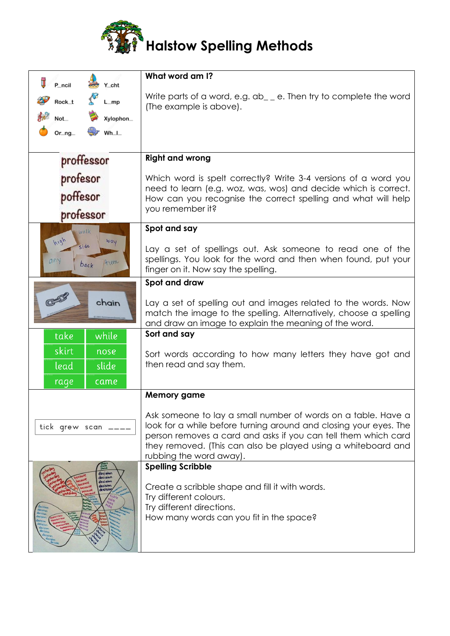

| π<br>P ncil<br>Y_cht                             | What word am I?                                                                                                                                                                                                                                                                                  |
|--------------------------------------------------|--------------------------------------------------------------------------------------------------------------------------------------------------------------------------------------------------------------------------------------------------------------------------------------------------|
| $\mathcal{S}$<br>Rock_t<br>$L_m$ p               | Write parts of a word, e.g. $ab_{-}$ e. Then try to complete the word                                                                                                                                                                                                                            |
| Xylophon_<br>Not_                                | (The example is above).                                                                                                                                                                                                                                                                          |
| $Or_nq$<br>$Wh$ <sub>-</sub>                     |                                                                                                                                                                                                                                                                                                  |
|                                                  |                                                                                                                                                                                                                                                                                                  |
| proffessor                                       | <b>Right and wrong</b>                                                                                                                                                                                                                                                                           |
| profesor<br>poffesor                             | Which word is spelt correctly? Write 3-4 versions of a word you<br>need to learn (e.g. woz, was, wos) and decide which is correct.<br>How can you recognise the correct spelling and what will help<br>you remember it?                                                                          |
| professor                                        |                                                                                                                                                                                                                                                                                                  |
| Walk<br>high<br>way                              | Spot and say                                                                                                                                                                                                                                                                                     |
| side<br>any<br>time<br>back                      | Lay a set of spellings out. Ask someone to read one of the<br>spellings. You look for the word and then when found, put your<br>finger on it. Now say the spelling.                                                                                                                              |
|                                                  | Spot and draw                                                                                                                                                                                                                                                                                    |
| chain                                            | Lay a set of spelling out and images related to the words. Now<br>match the image to the spelling. Alternatively, choose a spelling<br>and draw an image to explain the meaning of the word.                                                                                                     |
| take<br>while                                    | Sort and say                                                                                                                                                                                                                                                                                     |
| skirt<br>nose                                    | Sort words according to how many letters they have got and                                                                                                                                                                                                                                       |
| slide<br>lead                                    | then read and say them.                                                                                                                                                                                                                                                                          |
| rage<br>came                                     |                                                                                                                                                                                                                                                                                                  |
|                                                  | <b>Memory game</b>                                                                                                                                                                                                                                                                               |
| tick grew scan __                                | Ask someone to lay a small number of words on a table. Have a<br>look for a while before turning around and closing your eyes. The<br>person removes a card and asks if you can tell them which card<br>they removed. (This can also be played using a whiteboard and<br>rubbing the word away). |
| decision                                         | <b>Spelling Scribble</b>                                                                                                                                                                                                                                                                         |
| decision<br>decision<br>lecision<br><b>PEISI</b> | Create a scribble shape and fill it with words.<br>Try different colours.<br>Try different directions.<br>How many words can you fit in the space?                                                                                                                                               |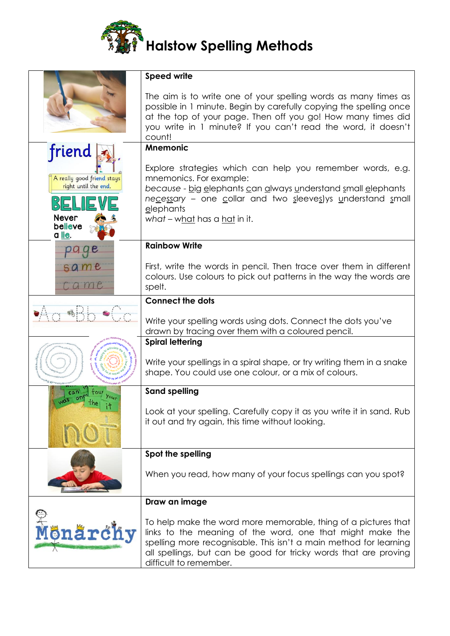

|                                                                                         | <b>Speed write</b>                                                                                                                                                                                                                                                                             |
|-----------------------------------------------------------------------------------------|------------------------------------------------------------------------------------------------------------------------------------------------------------------------------------------------------------------------------------------------------------------------------------------------|
|                                                                                         | The aim is to write one of your spelling words as many times as<br>possible in 1 minute. Begin by carefully copying the spelling once<br>at the top of your page. Then off you go! How many times did<br>you write in 1 minute? If you can't read the word, it doesn't<br>count!               |
|                                                                                         | <b>Mnemonic</b>                                                                                                                                                                                                                                                                                |
| friend<br>A really good friend stays<br>right until the end.<br><b>Never</b><br>believe | Explore strategies which can help you remember words, e.g.<br>mnemonics. For example:<br>because - big elephants can always understand small elephants<br>necessary - one collar and two sleeves) ys understand small<br>elephants<br>what – what has a hat in it.                             |
| a lie.                                                                                  |                                                                                                                                                                                                                                                                                                |
|                                                                                         | <b>Rainbow Write</b>                                                                                                                                                                                                                                                                           |
| same<br>Came                                                                            | First, write the words in pencil. Then trace over them in different<br>colours. Use colours to pick out patterns in the way the words are<br>spelt.                                                                                                                                            |
|                                                                                         | <b>Connect the dots</b>                                                                                                                                                                                                                                                                        |
|                                                                                         | Write your spelling words using dots. Connect the dots you've<br>drawn by tracing over them with a coloured pencil.                                                                                                                                                                            |
|                                                                                         | <b>Spiral lettering</b>                                                                                                                                                                                                                                                                        |
|                                                                                         | Write your spellings in a spiral shape, or try writing them in a snake<br>shape. You could use one colour, or a mix of colours.                                                                                                                                                                |
|                                                                                         | <b>Sand spelling</b>                                                                                                                                                                                                                                                                           |
|                                                                                         | Look at your spelling. Carefully copy it as you write it in sand. Rub<br>it out and try again, this time without looking.                                                                                                                                                                      |
|                                                                                         | Spot the spelling                                                                                                                                                                                                                                                                              |
|                                                                                         | When you read, how many of your focus spellings can you spot?                                                                                                                                                                                                                                  |
|                                                                                         | Draw an image                                                                                                                                                                                                                                                                                  |
| Mönärchy                                                                                | To help make the word more memorable, thing of a pictures that<br>links to the meaning of the word, one that might make the<br>spelling more recognisable. This isn't a main method for learning<br>all spellings, but can be good for tricky words that are proving<br>difficult to remember. |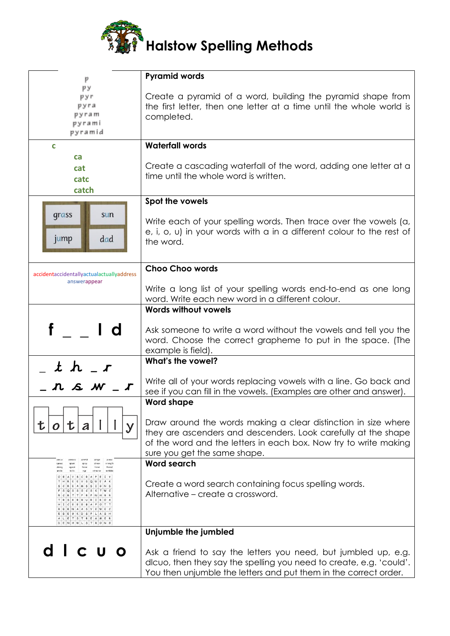

| p                                                                                                      | <b>Pyramid words</b>                                                                                                                                                                                                                 |
|--------------------------------------------------------------------------------------------------------|--------------------------------------------------------------------------------------------------------------------------------------------------------------------------------------------------------------------------------------|
| pу<br>pyr<br>pyra<br>pyram<br>pyrami<br>pyramid                                                        | Create a pyramid of a word, building the pyramid shape from<br>the first letter, then one letter at a time until the whole world is<br>completed.                                                                                    |
| C                                                                                                      | <b>Waterfall words</b>                                                                                                                                                                                                               |
| ca<br>cat<br>catc<br>catch                                                                             | Create a cascading waterfall of the word, adding one letter at a<br>time until the whole word is written.                                                                                                                            |
|                                                                                                        | Spot the vowels                                                                                                                                                                                                                      |
| grass<br>sun<br>jump<br>dad                                                                            | Write each of your spelling words. Then trace over the vowels (a,<br>e, i, o, u) in your words with a in a different colour to the rest of<br>the word.                                                                              |
|                                                                                                        | <b>Choo Choo words</b>                                                                                                                                                                                                               |
| accidentaccidentallyactualactuallyaddress<br>answerappear                                              | Write a long list of your spelling words end-to-end as one long<br>word. Write each new word in a different colour.                                                                                                                  |
|                                                                                                        | <b>Words without vowels</b>                                                                                                                                                                                                          |
|                                                                                                        | Ask someone to write a word without the vowels and tell you the<br>word. Choose the correct grapheme to put in the space. (The<br>example is field).                                                                                 |
|                                                                                                        | What's the vowel?                                                                                                                                                                                                                    |
| _ t h _ r<br>_ n s w .                                                                                 | Write all of your words replacing vowels with a line. Go back and<br>see if you can fill in the vowels. (Examples are other and answer).                                                                                             |
|                                                                                                        | <b>Word shape</b>                                                                                                                                                                                                                    |
| 七                                                                                                      | Draw around the words making a clear distinction in size where<br>they are ascenders and descenders. Look carefully at the shape<br>of the word and the letters in each box. Now try to write making<br>sure you get the same shape. |
| strength<br>spread<br>splash<br>spray<br>streas<br>thread<br>strong<br>agueak<br>three<br>*hrow        | <b>Word search</b>                                                                                                                                                                                                                   |
| scribble<br>arole<br><b>keits</b><br>streamer<br>PEIY<br>$E$ $6$ K D S<br>ALETSTREAMER<br>DENHWLSTRONG | Create a word search containing focus spelling words.<br>Alternative – create a crossword.                                                                                                                                           |
|                                                                                                        | Unjumble the jumbled                                                                                                                                                                                                                 |
|                                                                                                        | Ask a friend to say the letters you need, but jumbled up, e.g.<br>dlcuo, then they say the spelling you need to create, e.g. 'could'.<br>You then unjumble the letters and put them in the correct order.                            |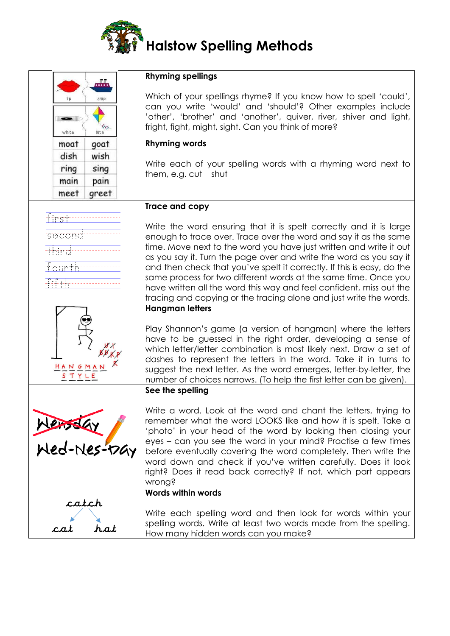

|                                 | <b>Rhyming spellings</b>                                                                                                                                                                                                                                                                                                                                                                                                                                                                                                                                                     |
|---------------------------------|------------------------------------------------------------------------------------------------------------------------------------------------------------------------------------------------------------------------------------------------------------------------------------------------------------------------------------------------------------------------------------------------------------------------------------------------------------------------------------------------------------------------------------------------------------------------------|
| ship<br>$\sim$<br>white<br>kite | Which of your spellings rhyme? If you know how to spell 'could',<br>can you write 'would' and 'should'? Other examples include<br>'other', 'brother' and 'another', quiver, river, shiver and light,<br>fright, fight, might, sight. Can you think of more?                                                                                                                                                                                                                                                                                                                  |
| goat<br>moat                    | <b>Rhyming words</b>                                                                                                                                                                                                                                                                                                                                                                                                                                                                                                                                                         |
| dish<br>wish                    |                                                                                                                                                                                                                                                                                                                                                                                                                                                                                                                                                                              |
| sing<br>ring                    | Write each of your spelling words with a rhyming word next to<br>them, e.g. cut shut                                                                                                                                                                                                                                                                                                                                                                                                                                                                                         |
| pain<br>main                    |                                                                                                                                                                                                                                                                                                                                                                                                                                                                                                                                                                              |
| greet<br>meet                   |                                                                                                                                                                                                                                                                                                                                                                                                                                                                                                                                                                              |
|                                 | Trace and copy                                                                                                                                                                                                                                                                                                                                                                                                                                                                                                                                                               |
| titrst<br>mana ay ara<br>yundin | Write the word ensuring that it is spelt correctly and it is large<br>enough to trace over. Trace over the word and say it as the same<br>time. Move next to the word you have just written and write it out<br>as you say it. Turn the page over and write the word as you say it<br>and then check that you've spelt it correctly. If this is easy, do the<br>same process for two different words at the same time. Once you<br>have written all the word this way and feel confident, miss out the<br>tracing and copying or the tracing alone and just write the words. |
|                                 | <b>Hangman letters</b>                                                                                                                                                                                                                                                                                                                                                                                                                                                                                                                                                       |
| HANGMAN<br>STYLE                | Play Shannon's game (a version of hangman) where the letters<br>have to be guessed in the right order, developing a sense of<br>which letter/letter combination is most likely next. Draw a set of<br>dashes to represent the letters in the word. Take it in turns to<br>suggest the next letter. As the word emerges, letter-by-letter, the<br>number of choices narrows. (To help the first letter can be given).                                                                                                                                                         |
|                                 | See the spelling                                                                                                                                                                                                                                                                                                                                                                                                                                                                                                                                                             |
| Wensday<br>Wed-Nes-17Gy         | Write a word. Look at the word and chant the letters, trying to<br>remember what the word LOOKS like and how it is spelt. Take a<br>'photo' in your head of the word by looking then closing your<br>eyes – can you see the word in your mind? Practise a few times<br>before eventually covering the word completely. Then write the<br>word down and check if you've written carefully. Does it look<br>right? Does it read back correctly? If not, which part appears<br>wrong?                                                                                           |
|                                 | <b>Words within words</b>                                                                                                                                                                                                                                                                                                                                                                                                                                                                                                                                                    |
| catch<br>hat<br>c.a.            | Write each spelling word and then look for words within your<br>spelling words. Write at least two words made from the spelling.<br>How many hidden words can you make?                                                                                                                                                                                                                                                                                                                                                                                                      |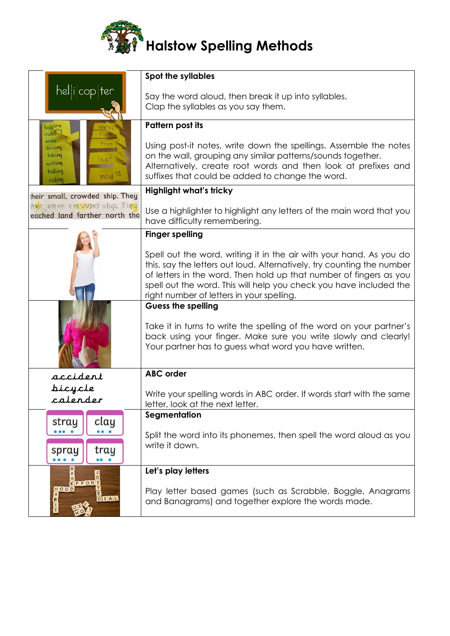

|                                | <b>Spot the syllables</b>                                                                                                     |
|--------------------------------|-------------------------------------------------------------------------------------------------------------------------------|
| hel i cop ter                  | Say the word aloud, then break it up into syllables.                                                                          |
|                                | Clap the syllables as you say them.                                                                                           |
| $0a$ king                      | <b>Pattern post its</b>                                                                                                       |
| make<br>smile                  |                                                                                                                               |
| driv ing                       | Using post-it notes, write down the spellings. Assemble the notes                                                             |
| taking<br>writing              | on the wall, grouping any similar patterns/sounds together.<br>Alternatively, create root words and then look at prefixes and |
| hiding<br>moule<br>riding      | suffixes that could be added to change the word.                                                                              |
| heir small, crowded ship. They | <b>Highlight what's tricky</b>                                                                                                |
| heir small, crowded ship. They |                                                                                                                               |
| eached land farther north tha  | Use a highlighter to highlight any letters of the main word that you<br>have difficulty remembering.                          |
|                                | <b>Finger spelling</b>                                                                                                        |
|                                | Spell out the word, writing it in the air with your hand. As you do                                                           |
|                                | this, say the letters out loud. Alternatively, try counting the number                                                        |
|                                | of letters in the word. Then hold up that number of fingers as you                                                            |
|                                | spell out the word. This will help you check you have included the<br>right number of letters in your spelling.               |
|                                | <b>Guess the spelling</b>                                                                                                     |
|                                |                                                                                                                               |
|                                | Take it in turns to write the spelling of the word on your partner's                                                          |
|                                | back using your finger. Make sure you write slowly and clearly!<br>Your partner has to guess what word you have written.      |
|                                |                                                                                                                               |
| accident                       | <b>ABC</b> order                                                                                                              |
| bicycle                        |                                                                                                                               |
| calender                       | Write your spelling words in ABC order. If words start with the same                                                          |
|                                | letter, look at the next letter.<br>Segmentation                                                                              |
| clay<br>stray                  |                                                                                                                               |
|                                | Split the word into its phonemes, then spell the word aloud as you                                                            |
| tray<br>spray                  | write it down.                                                                                                                |
|                                |                                                                                                                               |
| $\circ$<br>EFFORT              | Let's play letters                                                                                                            |
| HOOD                           | Play letter based games (such as Scrabble, Boggle, Anagrams                                                                   |
| $D$ $I$ $A$ $L$<br>B           | and Banagrams) and together explore the words made.                                                                           |
|                                |                                                                                                                               |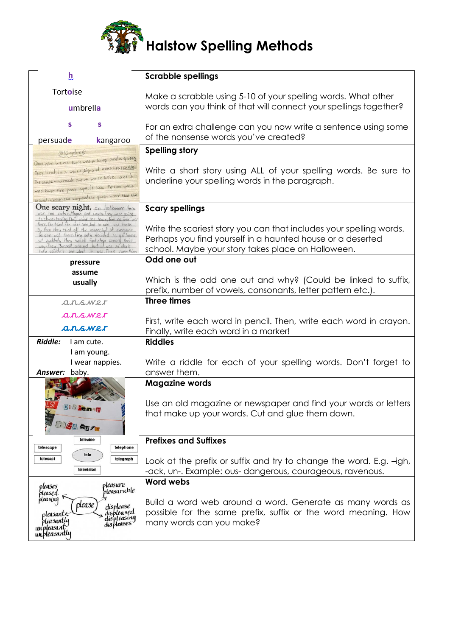

| h                                                                                                           | <b>Scrabble spellings</b>                                                                                   |
|-------------------------------------------------------------------------------------------------------------|-------------------------------------------------------------------------------------------------------------|
|                                                                                                             |                                                                                                             |
| Tortoise                                                                                                    | Make a scrabble using 5-10 of your spelling words. What other                                               |
| umbrella                                                                                                    | words can you think of that will connect your spellings together?                                           |
| s<br>s                                                                                                      |                                                                                                             |
| persuade<br>kangaroo                                                                                        | For an extra challenge can you now write a sentence using some<br>of the nonsense words you've created?     |
| ( Kingdom G                                                                                                 | <b>Spelling story</b>                                                                                       |
| Once upon a time there was a king and a queen                                                               |                                                                                                             |
| They lived in a white, big and beactiful castle.                                                            | Write a short story using ALL of your spelling words. Be sure to                                            |
| The castle was made out of white bricks and it                                                              | underline your spelling words in the paragraph.                                                             |
| was built five years ago. It took fifteen weeks                                                             |                                                                                                             |
| to build it. When the king and the queen heard that the<br><b>One scary night, on Holloween there</b>       |                                                                                                             |
| was two sisters, Megan and Laura. They were going<br>trick-or-trating. They tried one house, but no one was | <b>Scary spellings</b>                                                                                      |
| there. The tried the next one, but no one was there.<br>By then they tried all the noures, but at everyone  | Write the scariest story you can that includes your spelling words.                                         |
| op one was there. They both decided to go home,<br>put suddenly they neard faatsteps coming their           | Perhaps you find yourself in a haunted house or a deserted                                                  |
| way. They turned around but it was so dock<br>they couldn't see what it was Then something                  | school. Maybe your story takes place on Halloween.                                                          |
| pressure                                                                                                    | Odd one out                                                                                                 |
| assume                                                                                                      |                                                                                                             |
| usually                                                                                                     | Which is the odd one out and why? (Could be linked to suffix,                                               |
|                                                                                                             | prefix, number of vowels, consonants, letter pattern etc.).                                                 |
| arswer                                                                                                      | <b>Three times</b>                                                                                          |
| arswer                                                                                                      |                                                                                                             |
| arswer                                                                                                      | First, write each word in pencil. Then, write each word in crayon.<br>Finally, write each word in a marker! |
| Riddle:<br>I am cute.                                                                                       | <b>Riddles</b>                                                                                              |
| I am young.                                                                                                 |                                                                                                             |
| I wear nappies.                                                                                             | Write a riddle for each of your spelling words. Don't forget to                                             |
| Answer: baby.                                                                                               | answer them.                                                                                                |
|                                                                                                             | <b>Magazine words</b>                                                                                       |
|                                                                                                             |                                                                                                             |
| Di Stense                                                                                                   | Use an old magazine or newspaper and find your words or letters                                             |
|                                                                                                             | that make up your words. Cut and glue them down.                                                            |
| MEASUR-                                                                                                     |                                                                                                             |
| televise                                                                                                    | <b>Prefixes and Suffixes</b>                                                                                |
| telephone<br>telescope<br>tele                                                                              |                                                                                                             |
| telecast<br>telegraph                                                                                       | Look at the prefix or suffix and try to change the word. E.g. -igh,                                         |
| television                                                                                                  | -ack, un-. Example: ous-dangerous, courageous, ravenous.                                                    |
| pleasure<br>pleases                                                                                         | <b>Word webs</b>                                                                                            |
| pleasurable<br>pleased<br>pleasing                                                                          |                                                                                                             |
| please                                                                                                      | Build a word web around a word. Generate as many words as                                                   |
| displease<br>displeased<br>displeasing<br>pleasante<br><b>pleasant</b> ly                                   | possible for the same prefix, suffix or the word meaning. How                                               |
| displeases<br>un'pleasant                                                                                   | many words can you make?                                                                                    |
| unbleasantly                                                                                                |                                                                                                             |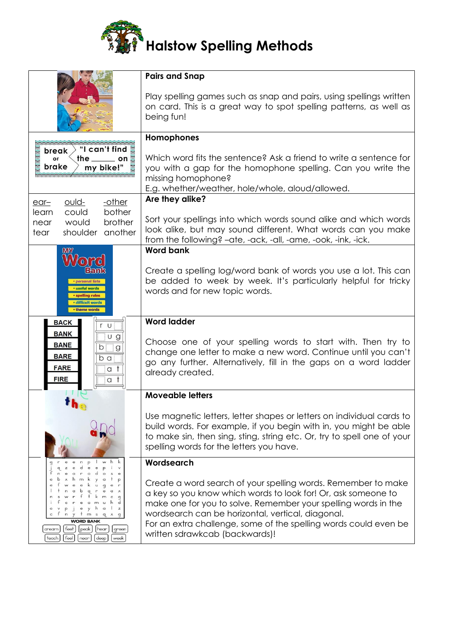

| <b>Pairs and Snap</b><br>Play spelling games such as snap and pairs, using spellings written                                                                                                                                                                                                                                                                |
|-------------------------------------------------------------------------------------------------------------------------------------------------------------------------------------------------------------------------------------------------------------------------------------------------------------------------------------------------------------|
| on card. This is a great way to spot spelling patterns, as well as<br>being fun!                                                                                                                                                                                                                                                                            |
| Homophones                                                                                                                                                                                                                                                                                                                                                  |
| Which word fits the sentence? Ask a friend to write a sentence for<br>you with a gap for the homophone spelling. Can you write the<br>missing homophone?<br>E.g. whether/weather, hole/whole, aloud/allowed.                                                                                                                                                |
| Are they alike?                                                                                                                                                                                                                                                                                                                                             |
| Sort your spellings into which words sound alike and which words<br>look alike, but may sound different. What words can you make<br>from the following? -ate, -ack, -all, -ame, -ook, -ink, -ick.                                                                                                                                                           |
| <b>Word bank</b>                                                                                                                                                                                                                                                                                                                                            |
| Create a spelling log/word bank of words you use a lot. This can<br>be added to week by week. It's particularly helpful for tricky<br>words and for new topic words.                                                                                                                                                                                        |
| <b>Word ladder</b>                                                                                                                                                                                                                                                                                                                                          |
| Choose one of your spelling words to start with. Then try to<br>change one letter to make a new word. Continue until you can't<br>go any further. Alternatively, fill in the gaps on a word ladder<br>already created.                                                                                                                                      |
| <b>Moveable letters</b>                                                                                                                                                                                                                                                                                                                                     |
| Use magnetic letters, letter shapes or letters on individual cards to<br>build words. For example, if you begin with in, you might be able<br>to make sin, then sing, sting, string etc. Or, try to spell one of your<br>spelling words for the letters you have.                                                                                           |
| Wordsearch                                                                                                                                                                                                                                                                                                                                                  |
| Create a word search of your spelling words. Remember to make<br>a key so you know which words to look for! Or, ask someone to<br>make one for you to solve. Remember your spelling words in the<br>wordsearch can be horizontal, vertical, diagonal.<br>For an extra challenge, some of the spelling words could even be<br>written sdrawkcab (backwards)! |
|                                                                                                                                                                                                                                                                                                                                                             |